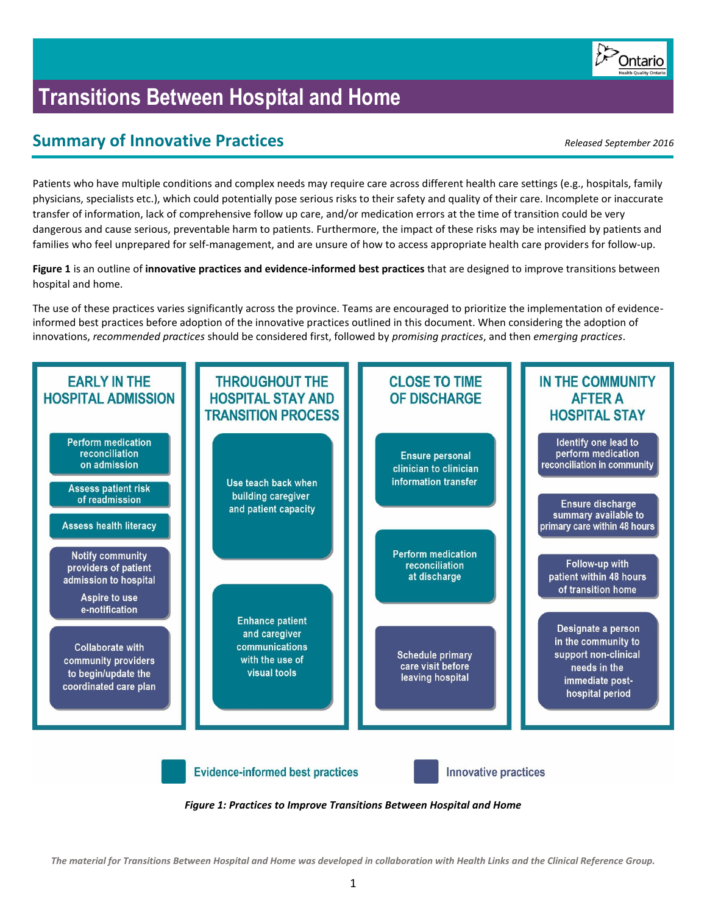

# **Transitions Between Hospital and Home**

# **Summary of Innovative Practices** *Released September 2016*

Patients who have multiple conditions and complex needs may require care across different health care settings (e.g., hospitals, family physicians, specialists etc.), which could potentially pose serious risks to their safety and quality of their care. Incomplete or inaccurate transfer of information, lack of comprehensive follow up care, and/or medication errors at the time of transition could be very dangerous and cause serious, preventable harm to patients. Furthermore, the impact of these risks may be intensified by patients and families who feel unprepared for self-management, and are unsure of how to access appropriate health care providers for follow-up.

**Figure 1** is an outline of **innovative practices and evidence-informed best practices** that are designed to improve transitions between hospital and home.

The use of these practices varies significantly across the province. Teams are encouraged to prioritize the implementation of evidenceinformed best practices before adoption of the innovative practices outlined in this document. When considering the adoption of innovations, *recommended practices* should be considered first, followed by *promising practices*, and then *emerging practices*.



*Figure 1: Practices to Improve Transitions Between Hospital and Home*

*The material for Transitions Between Hospital and Home was developed in collaboration with Health Links and the Clinical Reference Group.*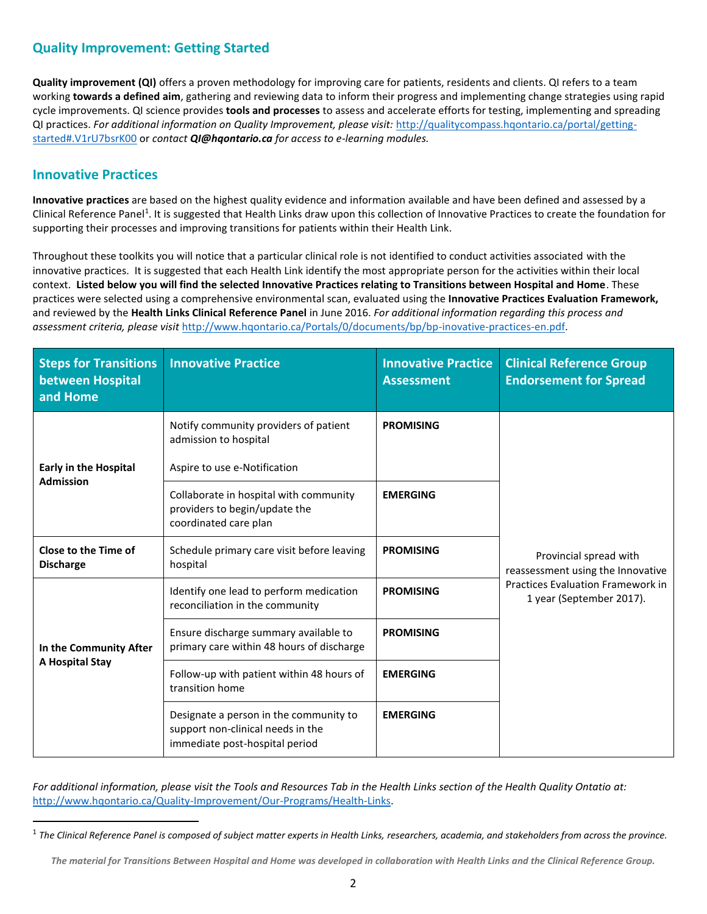## **Quality Improvement: Getting Started**

**Quality improvement (QI)** offers a proven methodology for improving care for patients, residents and clients. QI refers to a team working **towards a defined aim**, gathering and reviewing data to inform their progress and implementing change strategies using rapid cycle improvements. QI science provides **tools and processes** to assess and accelerate efforts for testing, implementing and spreading QI practices. *For additional information on Quality Improvement, please visit:* [http://qualitycompass.hqontario.ca/portal/getting](http://qualitycompass.hqontario.ca/portal/getting-started#.V1rU7bsrK00)[started#.V1rU7bsrK00](http://qualitycompass.hqontario.ca/portal/getting-started#.V1rU7bsrK00) or *contact QI@hqontario.ca for access to e-learning modules.*

### **Innovative Practices**

 $\overline{a}$ 

**Innovative practices** are based on the highest quality evidence and information available and have been defined and assessed by a Clinical Reference Panel<sup>1</sup>. It is suggested that Health Links draw upon this collection of Innovative Practices to create the foundation for supporting their processes and improving transitions for patients within their Health Link.

Throughout these toolkits you will notice that a particular clinical role is not identified to conduct activities associated with the innovative practices. It is suggested that each Health Link identify the most appropriate person for the activities within their local context. **Listed below you will find the selected Innovative Practices relating to Transitions between Hospital and Home**. These practices were selected using a comprehensive environmental scan, evaluated using the **Innovative Practices Evaluation Framework,** and reviewed by the **Health Links Clinical Reference Panel** in June 2016. *For additional information regarding this process and assessment criteria, please visit* [http://www.hqontario.ca/Portals/0/documents/bp/bp-inovative-practices-en.pdf.](http://www.hqontario.ca/Portals/0/documents/bp/bp-inovative-practices-en.pdf)

| <b>Steps for Transitions</b><br>between Hospital<br>and Home | <b>Innovative Practice</b>                                                                                                       | <b>Innovative Practice</b><br><b>Assessment</b> | <b>Clinical Reference Group</b><br><b>Endorsement for Spread</b>                                                                    |  |
|--------------------------------------------------------------|----------------------------------------------------------------------------------------------------------------------------------|-------------------------------------------------|-------------------------------------------------------------------------------------------------------------------------------------|--|
| <b>Early in the Hospital</b><br><b>Admission</b>             | Notify community providers of patient<br>admission to hospital<br>Aspire to use e-Notification                                   | <b>PROMISING</b>                                |                                                                                                                                     |  |
|                                                              | Collaborate in hospital with community<br>providers to begin/update the<br>coordinated care plan                                 | <b>EMERGING</b>                                 | Provincial spread with<br>reassessment using the Innovative<br><b>Practices Evaluation Framework in</b><br>1 year (September 2017). |  |
| Close to the Time of<br><b>Discharge</b>                     | Schedule primary care visit before leaving<br>hospital                                                                           | <b>PROMISING</b>                                |                                                                                                                                     |  |
| In the Community After<br>A Hospital Stay                    | Identify one lead to perform medication<br>reconciliation in the community                                                       | <b>PROMISING</b>                                |                                                                                                                                     |  |
|                                                              | Ensure discharge summary available to<br>primary care within 48 hours of discharge                                               | <b>PROMISING</b>                                |                                                                                                                                     |  |
|                                                              | Follow-up with patient within 48 hours of<br><b>EMERGING</b><br>transition home                                                  |                                                 |                                                                                                                                     |  |
|                                                              | Designate a person in the community to<br><b>EMERGING</b><br>support non-clinical needs in the<br>immediate post-hospital period |                                                 |                                                                                                                                     |  |

*For additional information, please visit the Tools and Resources Tab in the Health Links section of the Health Quality Ontatio at:*  [http://www.hqontario.ca/Quality-Improvement/Our-Programs/Health-Links.](http://www.hqontario.ca/Quality-Improvement/Our-Programs/Health-Links)

<sup>1</sup> *The Clinical Reference Panel is composed of subject matter experts in Health Links, researchers, academia, and stakeholders from across the province.*

*The material for Transitions Between Hospital and Home was developed in collaboration with Health Links and the Clinical Reference Group.*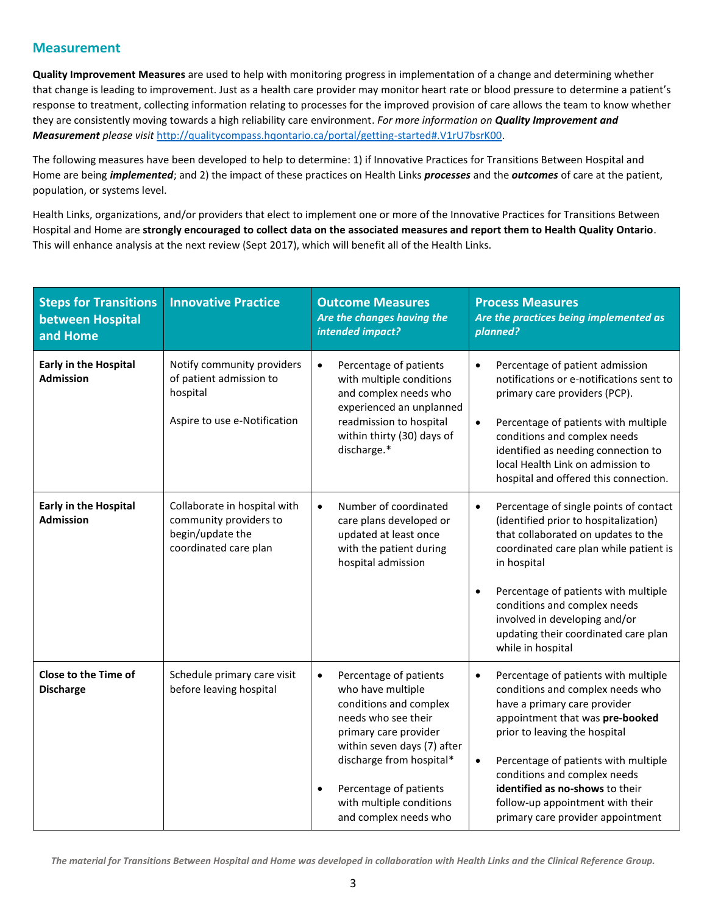#### **Measurement**

**Quality Improvement Measures** are used to help with monitoring progress in implementation of a change and determining whether that change is leading to improvement. Just as a health care provider may monitor heart rate or blood pressure to determine a patient's response to treatment, collecting information relating to processes for the improved provision of care allows the team to know whether they are consistently moving towards a high reliability care environment. *For more information on Quality Improvement and Measurement please visit* [http://qualitycompass.hqontario.ca/portal/getting-started#.V1rU7bsrK00.](http://qualitycompass.hqontario.ca/portal/getting-started#.V1rU7bsrK00)

The following measures have been developed to help to determine: 1) if Innovative Practices for Transitions Between Hospital and Home are being *implemented*; and 2) the impact of these practices on Health Links *processes* and the *outcomes* of care at the patient, population, or systems level.

Health Links, organizations, and/or providers that elect to implement one or more of the Innovative Practices for Transitions Between Hospital and Home are **strongly encouraged to collect data on the associated measures and report them to Health Quality Ontario**. This will enhance analysis at the next review (Sept 2017), which will benefit all of the Health Links.

| <b>Steps for Transitions</b><br>between Hospital<br>and Home | <b>Innovative Practice</b>                                                                          | <b>Outcome Measures</b><br>Are the changes having the<br>intended impact?                                                                                                                                                                                                                 | <b>Process Measures</b><br>Are the practices being implemented as<br>planned?                                                                                                                                                                                                                                                                                                              |
|--------------------------------------------------------------|-----------------------------------------------------------------------------------------------------|-------------------------------------------------------------------------------------------------------------------------------------------------------------------------------------------------------------------------------------------------------------------------------------------|--------------------------------------------------------------------------------------------------------------------------------------------------------------------------------------------------------------------------------------------------------------------------------------------------------------------------------------------------------------------------------------------|
| <b>Early in the Hospital</b><br><b>Admission</b>             | Notify community providers<br>of patient admission to<br>hospital<br>Aspire to use e-Notification   | Percentage of patients<br>$\bullet$<br>with multiple conditions<br>and complex needs who<br>experienced an unplanned<br>readmission to hospital<br>within thirty (30) days of<br>discharge.*                                                                                              | Percentage of patient admission<br>$\bullet$<br>notifications or e-notifications sent to<br>primary care providers (PCP).<br>Percentage of patients with multiple<br>$\bullet$<br>conditions and complex needs<br>identified as needing connection to<br>local Health Link on admission to<br>hospital and offered this connection.                                                        |
| <b>Early in the Hospital</b><br><b>Admission</b>             | Collaborate in hospital with<br>community providers to<br>begin/update the<br>coordinated care plan | Number of coordinated<br>$\bullet$<br>care plans developed or<br>updated at least once<br>with the patient during<br>hospital admission                                                                                                                                                   | Percentage of single points of contact<br>$\bullet$<br>(identified prior to hospitalization)<br>that collaborated on updates to the<br>coordinated care plan while patient is<br>in hospital<br>Percentage of patients with multiple<br>$\bullet$<br>conditions and complex needs<br>involved in developing and/or<br>updating their coordinated care plan<br>while in hospital            |
| Close to the Time of<br><b>Discharge</b>                     | Schedule primary care visit<br>before leaving hospital                                              | Percentage of patients<br>$\bullet$<br>who have multiple<br>conditions and complex<br>needs who see their<br>primary care provider<br>within seven days (7) after<br>discharge from hospital*<br>Percentage of patients<br>$\bullet$<br>with multiple conditions<br>and complex needs who | Percentage of patients with multiple<br>$\bullet$<br>conditions and complex needs who<br>have a primary care provider<br>appointment that was pre-booked<br>prior to leaving the hospital<br>Percentage of patients with multiple<br>$\bullet$<br>conditions and complex needs<br>identified as no-shows to their<br>follow-up appointment with their<br>primary care provider appointment |

*The material for Transitions Between Hospital and Home was developed in collaboration with Health Links and the Clinical Reference Group.*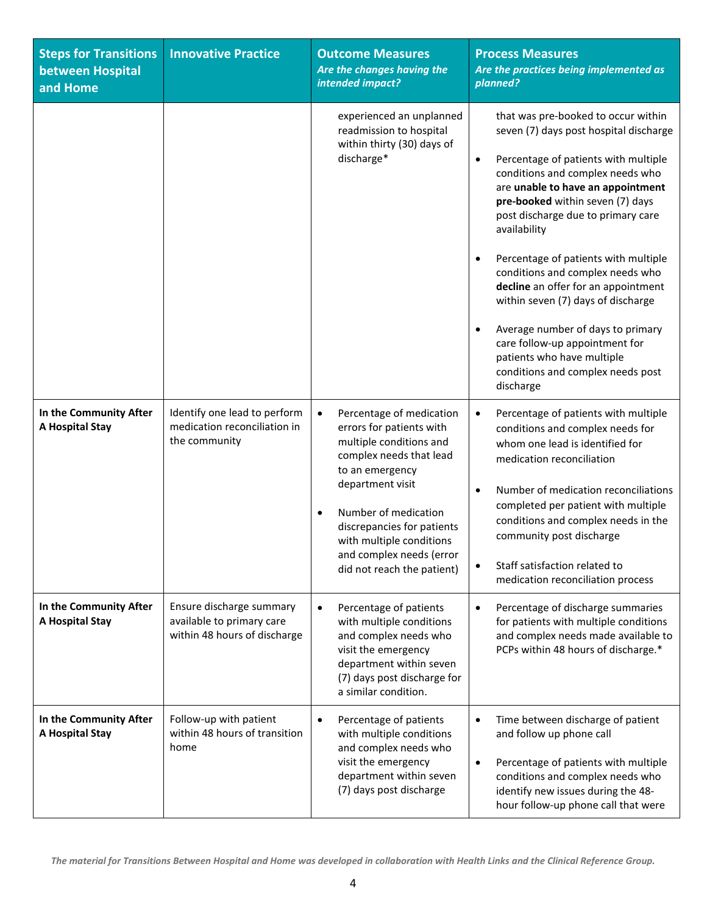| <b>Steps for Transitions</b><br>between Hospital<br>and Home | <b>Innovative Practice</b>                                                            | <b>Outcome Measures</b><br>Are the changes having the<br>intended impact?                                                                                                                                                                                                                                               | <b>Process Measures</b><br>Are the practices being implemented as<br>planned?                                                                                                                                                                                                                                                                                                                                                                                                                                                                                                                                                                   |
|--------------------------------------------------------------|---------------------------------------------------------------------------------------|-------------------------------------------------------------------------------------------------------------------------------------------------------------------------------------------------------------------------------------------------------------------------------------------------------------------------|-------------------------------------------------------------------------------------------------------------------------------------------------------------------------------------------------------------------------------------------------------------------------------------------------------------------------------------------------------------------------------------------------------------------------------------------------------------------------------------------------------------------------------------------------------------------------------------------------------------------------------------------------|
|                                                              |                                                                                       | experienced an unplanned<br>readmission to hospital<br>within thirty (30) days of<br>discharge*                                                                                                                                                                                                                         | that was pre-booked to occur within<br>seven (7) days post hospital discharge<br>Percentage of patients with multiple<br>$\bullet$<br>conditions and complex needs who<br>are unable to have an appointment<br>pre-booked within seven (7) days<br>post discharge due to primary care<br>availability<br>Percentage of patients with multiple<br>$\bullet$<br>conditions and complex needs who<br>decline an offer for an appointment<br>within seven (7) days of discharge<br>Average number of days to primary<br>$\bullet$<br>care follow-up appointment for<br>patients who have multiple<br>conditions and complex needs post<br>discharge |
| In the Community After<br>A Hospital Stay                    | Identify one lead to perform<br>medication reconciliation in<br>the community         | Percentage of medication<br>$\bullet$<br>errors for patients with<br>multiple conditions and<br>complex needs that lead<br>to an emergency<br>department visit<br>Number of medication<br>$\bullet$<br>discrepancies for patients<br>with multiple conditions<br>and complex needs (error<br>did not reach the patient) | Percentage of patients with multiple<br>$\bullet$<br>conditions and complex needs for<br>whom one lead is identified for<br>medication reconciliation<br>Number of medication reconciliations<br>$\bullet$<br>completed per patient with multiple<br>conditions and complex needs in the<br>community post discharge<br>Staff satisfaction related to<br>$\bullet$<br>medication reconciliation process                                                                                                                                                                                                                                         |
| In the Community After<br>A Hospital Stay                    | Ensure discharge summary<br>available to primary care<br>within 48 hours of discharge | Percentage of patients<br>٠<br>with multiple conditions<br>and complex needs who<br>visit the emergency<br>department within seven<br>(7) days post discharge for<br>a similar condition.                                                                                                                               | Percentage of discharge summaries<br>$\bullet$<br>for patients with multiple conditions<br>and complex needs made available to<br>PCPs within 48 hours of discharge.*                                                                                                                                                                                                                                                                                                                                                                                                                                                                           |
| In the Community After<br>A Hospital Stay                    | Follow-up with patient<br>within 48 hours of transition<br>home                       | Percentage of patients<br>$\bullet$<br>with multiple conditions<br>and complex needs who<br>visit the emergency<br>department within seven<br>(7) days post discharge                                                                                                                                                   | Time between discharge of patient<br>$\bullet$<br>and follow up phone call<br>Percentage of patients with multiple<br>$\bullet$<br>conditions and complex needs who<br>identify new issues during the 48-<br>hour follow-up phone call that were                                                                                                                                                                                                                                                                                                                                                                                                |

*The material for Transitions Between Hospital and Home was developed in collaboration with Health Links and the Clinical Reference Group.*